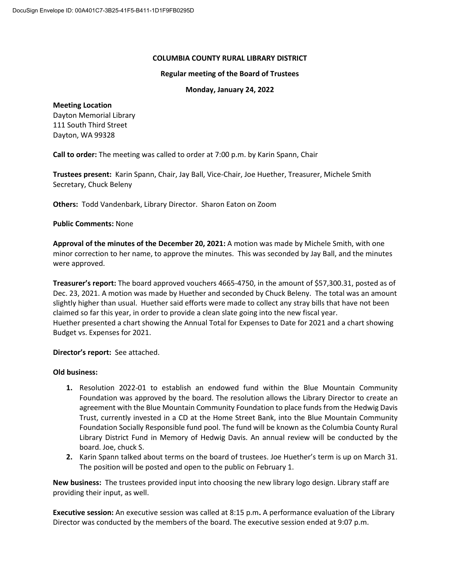#### **COLUMBIA COUNTY RURAL LIBRARY DISTRICT**

#### **Regular meeting of the Board of Trustees**

### **Monday, January 24, 2022**

#### **Meeting Location**

Dayton Memorial Library 111 South Third Street Dayton, WA 99328

**Call to order:** The meeting was called to order at 7:00 p.m. by Karin Spann, Chair

**Trustees present:** Karin Spann, Chair, Jay Ball, Vice-Chair, Joe Huether, Treasurer, Michele Smith Secretary, Chuck Beleny

**Others:** Todd Vandenbark, Library Director. Sharon Eaton on Zoom

### **Public Comments:** None

**Approval of the minutes of the December 20, 2021:** A motion was made by Michele Smith, with one minor correction to her name, to approve the minutes. This was seconded by Jay Ball, and the minutes were approved.

**Treasurer's report:** The board approved vouchers 4665-4750, in the amount of \$57,300.31, posted as of Dec. 23, 2021. A motion was made by Huether and seconded by Chuck Beleny. The total was an amount slightly higher than usual. Huether said efforts were made to collect any stray bills that have not been claimed so far this year, in order to provide a clean slate going into the new fiscal year. Huether presented a chart showing the Annual Total for Expenses to Date for 2021 and a chart showing Budget vs. Expenses for 2021.

# **Director's report:** See attached.

# **Old business:**

- **1.** Resolution 2022-01 to establish an endowed fund within the Blue Mountain Community Foundation was approved by the board. The resolution allows the Library Director to create an agreement with the Blue Mountain Community Foundation to place funds from the Hedwig Davis Trust, currently invested in a CD at the Home Street Bank, into the Blue Mountain Community Foundation Socially Responsible fund pool. The fund will be known as the Columbia County Rural Library District Fund in Memory of Hedwig Davis. An annual review will be conducted by the board. Joe, chuck S.
- **2.** Karin Spann talked about terms on the board of trustees. Joe Huether's term is up on March 31. The position will be posted and open to the public on February 1.

**New business:** The trustees provided input into choosing the new library logo design. Library staff are providing their input, as well.

**Executive session:** An executive session was called at 8:15 p.m**.** A performance evaluation of the Library Director was conducted by the members of the board. The executive session ended at 9:07 p.m.